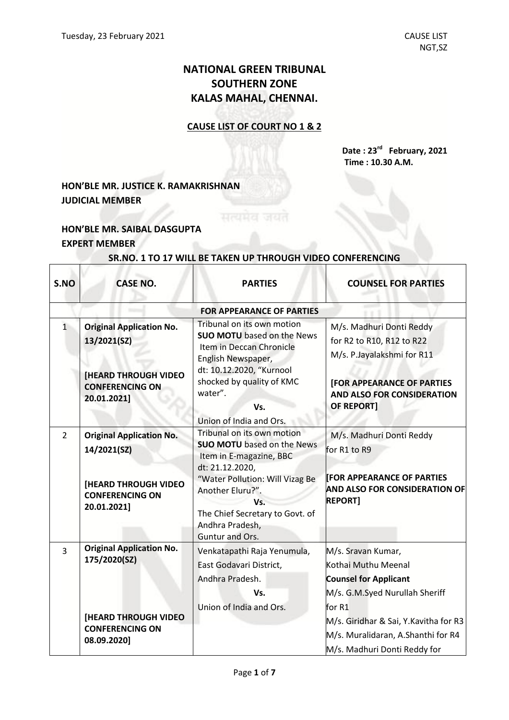# **NATIONAL GREEN TRIBUNAL SOUTHERN ZONE KALAS MAHAL, CHENNAI.**

### **CAUSE LIST OF COURT NO 1 & 2**

**Date : 23 rd February, 2021 Time : 10.30 A.M.**

## **HON'BLE MR. JUSTICE K. RAMAKRISHNAN JUDICIAL MEMBER**

### **HON'BLE MR. SAIBAL DASGUPTA EXPERT MEMBER**

 $\Gamma$ 

| S.NO           | <b>CASE NO.</b>                                                                                                         | <b>PARTIES</b>                                                                                                                                                                                                                                       | <b>COUNSEL FOR PARTIES</b>                                                                                                                                                                                                           |
|----------------|-------------------------------------------------------------------------------------------------------------------------|------------------------------------------------------------------------------------------------------------------------------------------------------------------------------------------------------------------------------------------------------|--------------------------------------------------------------------------------------------------------------------------------------------------------------------------------------------------------------------------------------|
|                |                                                                                                                         | <b>FOR APPEARANCE OF PARTIES</b>                                                                                                                                                                                                                     |                                                                                                                                                                                                                                      |
| $\mathbf{1}$   | <b>Original Application No.</b><br>13/2021(SZ)<br><b>[HEARD THROUGH VIDEO</b><br><b>CONFERENCING ON</b><br>20.01.2021]  | Tribunal on its own motion<br><b>SUO MOTU</b> based on the News<br>Item in Deccan Chronicle<br>English Newspaper,<br>dt: 10.12.2020, "Kurnool<br>shocked by quality of KMC<br>water".<br>Vs.                                                         | M/s. Madhuri Donti Reddy<br>for R2 to R10, R12 to R22<br>M/s. P.Jayalakshmi for R11<br><b>[FOR APPEARANCE OF PARTIES</b><br><b>AND ALSO FOR CONSIDERATION</b><br>OF REPORT]                                                          |
|                |                                                                                                                         | Union of India and Ors.                                                                                                                                                                                                                              |                                                                                                                                                                                                                                      |
| $\overline{2}$ | <b>Original Application No.</b><br>14/2021(SZ)<br><b>[HEARD THROUGH VIDEO</b><br><b>CONFERENCING ON</b><br>20.01.2021]  | Tribunal on its own motion<br><b>SUO MOTU</b> based on the News<br>Item in E-magazine, BBC<br>dt: 21.12.2020,<br>"Water Pollution: Will Vizag Be<br>Another Eluru?".<br>Vs.<br>The Chief Secretary to Govt. of<br>Andhra Pradesh,<br>Guntur and Ors. | M/s. Madhuri Donti Reddy<br>for R1 to R9<br><b>FOR APPEARANCE OF PARTIES</b><br><b>AND ALSO FOR CONSIDERATION OF</b><br><b>REPORT1</b>                                                                                               |
| $\overline{3}$ | <b>Original Application No.</b><br>175/2020(SZ)<br><b>[HEARD THROUGH VIDEO</b><br><b>CONFERENCING ON</b><br>08.09.2020] | Venkatapathi Raja Yenumula,<br>East Godavari District,<br>Andhra Pradesh.<br>Vs.<br>Union of India and Ors.                                                                                                                                          | M/s. Sravan Kumar,<br>Kothai Muthu Meenal<br><b>Counsel for Applicant</b><br>M/s. G.M.Syed Nurullah Sheriff<br>for R1<br>M/s. Giridhar & Sai, Y.Kavitha for R3<br>M/s. Muralidaran, A.Shanthi for R4<br>M/s. Madhuri Donti Reddy for |

#### **SR.NO. 1 TO 17 WILL BE TAKEN UP THROUGH VIDEO CONFERENCING**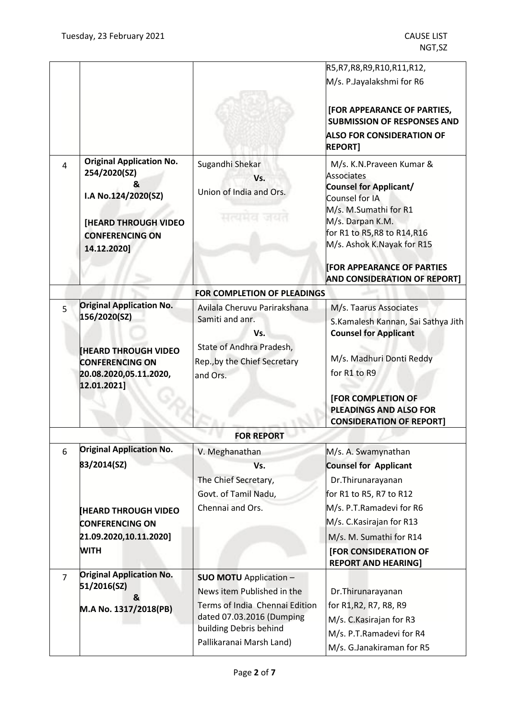|                |                                                                                                                                                     |                                                                                                                                                                                  | R5, R7, R8, R9, R10, R11, R12,                                                                                                                                                                                                                                                           |  |
|----------------|-----------------------------------------------------------------------------------------------------------------------------------------------------|----------------------------------------------------------------------------------------------------------------------------------------------------------------------------------|------------------------------------------------------------------------------------------------------------------------------------------------------------------------------------------------------------------------------------------------------------------------------------------|--|
|                |                                                                                                                                                     |                                                                                                                                                                                  | M/s. P.Jayalakshmi for R6                                                                                                                                                                                                                                                                |  |
|                |                                                                                                                                                     |                                                                                                                                                                                  | [FOR APPEARANCE OF PARTIES,<br><b>SUBMISSION OF RESPONSES AND</b><br><b>ALSO FOR CONSIDERATION OF</b><br><b>REPORT]</b>                                                                                                                                                                  |  |
| 4              | <b>Original Application No.</b><br>254/2020(SZ)<br>&<br>I.A No.124/2020(SZ)<br><b>[HEARD THROUGH VIDEO</b><br><b>CONFERENCING ON</b><br>14.12.2020] | Sugandhi Shekar<br>Vs.<br>Union of India and Ors.<br>सत्यमेव जयत                                                                                                                 | M/s. K.N. Praveen Kumar &<br><b>Associates</b><br><b>Counsel for Applicant/</b><br>Counsel for IA<br>M/s. M.Sumathi for R1<br>M/s. Darpan K.M.<br>for R1 to R5, R8 to R14, R16<br>M/s. Ashok K.Nayak for R15<br><b>IFOR APPEARANCE OF PARTIES</b><br><b>AND CONSIDERATION OF REPORT]</b> |  |
|                |                                                                                                                                                     | FOR COMPLETION OF PLEADINGS                                                                                                                                                      |                                                                                                                                                                                                                                                                                          |  |
| 5              | <b>Original Application No.</b><br>156/2020(SZ)<br><b>HEARD THROUGH VIDEO</b><br><b>CONFERENCING ON</b><br>20.08.2020,05.11.2020,<br>12.01.2021]    | Avilala Cheruvu Parirakshana<br>Samiti and anr.<br>Vs.<br>State of Andhra Pradesh,<br>Rep., by the Chief Secretary<br>and Ors.                                                   | M/s. Taarus Associates<br>S.Kamalesh Kannan, Sai Sathya Jith<br><b>Counsel for Applicant</b><br>M/s. Madhuri Donti Reddy<br>for R1 to R9<br><b>[FOR COMPLETION OF</b><br><b>PLEADINGS AND ALSO FOR</b><br><b>CONSIDERATION OF REPORT]</b>                                                |  |
|                | <b>FOR REPORT</b>                                                                                                                                   |                                                                                                                                                                                  |                                                                                                                                                                                                                                                                                          |  |
| 6              | <b>Original Application No.</b><br>83/2014(SZ)<br><b>HEARD THROUGH VIDEO</b>                                                                        | V. Meghanathan<br>Vs.<br>The Chief Secretary,<br>Govt. of Tamil Nadu,<br>Chennai and Ors.                                                                                        | M/s. A. Swamynathan<br><b>Counsel for Applicant</b><br>Dr. Thirunarayanan<br>for R1 to R5, R7 to R12<br>M/s. P.T.Ramadevi for R6                                                                                                                                                         |  |
|                | <b>CONFERENCING ON</b><br>21.09.2020,10.11.2020]<br><b>WITH</b>                                                                                     |                                                                                                                                                                                  | M/s. C. Kasirajan for R13<br>M/s. M. Sumathi for R14<br>[FOR CONSIDERATION OF<br><b>REPORT AND HEARING]</b>                                                                                                                                                                              |  |
| $\overline{7}$ | <b>Original Application No.</b><br>51/2016(SZ)<br>&<br>M.A No. 1317/2018(PB)                                                                        | <b>SUO MOTU</b> Application -<br>News item Published in the<br>Terms of India Chennai Edition<br>dated 07.03.2016 (Dumping<br>building Debris behind<br>Pallikaranai Marsh Land) | Dr. Thirunarayanan<br>for R1, R2, R7, R8, R9<br>M/s. C. Kasirajan for R3<br>M/s. P.T.Ramadevi for R4<br>M/s. G.Janakiraman for R5                                                                                                                                                        |  |
|                |                                                                                                                                                     |                                                                                                                                                                                  |                                                                                                                                                                                                                                                                                          |  |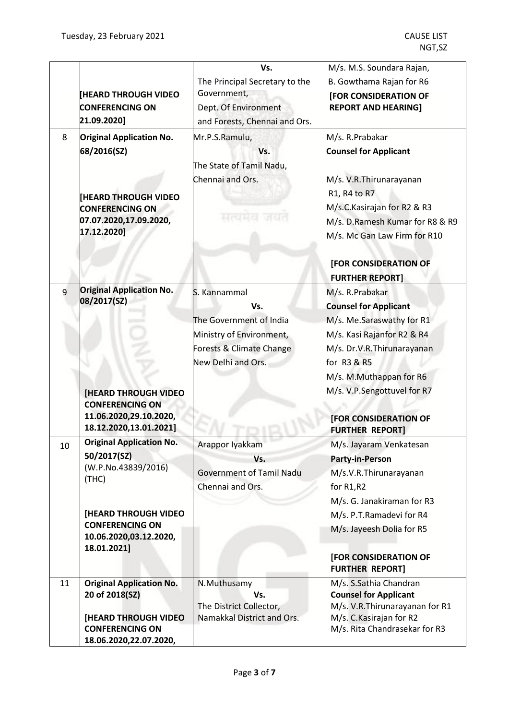|    |                                                  | Vs.                                                   | M/s. M.S. Soundara Rajan,                                   |
|----|--------------------------------------------------|-------------------------------------------------------|-------------------------------------------------------------|
|    |                                                  | The Principal Secretary to the                        | B. Gowthama Rajan for R6                                    |
|    | <b>HEARD THROUGH VIDEO</b>                       | Government,                                           | <b>[FOR CONSIDERATION OF</b>                                |
|    | <b>CONFERENCING ON</b>                           | Dept. Of Environment                                  | <b>REPORT AND HEARING]</b>                                  |
|    | 21.09.2020]                                      | and Forests, Chennai and Ors.                         |                                                             |
| 8  | <b>Original Application No.</b>                  | Mr.P.S.Ramulu,                                        | M/s. R.Prabakar                                             |
|    | 68/2016(SZ)                                      | Vs.                                                   | <b>Counsel for Applicant</b>                                |
|    |                                                  | The State of Tamil Nadu,                              |                                                             |
|    |                                                  | Chennai and Ors.                                      | M/s. V.R.Thirunarayanan                                     |
|    | <b>HEARD THROUGH VIDEO</b>                       |                                                       | R1, R4 to R7                                                |
|    | <b>CONFERENCING ON</b>                           |                                                       | M/s.C.Kasirajan for R2 & R3                                 |
|    | 07.07.2020,17.09.2020,                           | <b>AIRCLE CT</b>                                      | M/s. D.Ramesh Kumar for R8 & R9                             |
|    | 17.12.2020]                                      |                                                       | M/s. Mc Gan Law Firm for R10                                |
|    |                                                  |                                                       | [FOR CONSIDERATION OF                                       |
|    |                                                  |                                                       | <b>FURTHER REPORT]</b>                                      |
| 9  | <b>Original Application No.</b>                  | S. Kannammal                                          | M/s. R.Prabakar                                             |
|    | 08/2017(SZ)                                      | Vs.                                                   | <b>Counsel for Applicant</b>                                |
|    |                                                  | The Government of India                               | M/s. Me.Saraswathy for R1                                   |
|    |                                                  | Ministry of Environment,                              | M/s. Kasi Rajanfor R2 & R4                                  |
|    |                                                  | Forests & Climate Change                              | M/s. Dr.V.R.Thirunarayanan                                  |
|    |                                                  | New Delhi and Ors.                                    | for R3 & R5                                                 |
|    |                                                  |                                                       | M/s. M.Muthappan for R6                                     |
|    | <b>[HEARD THROUGH VIDEO</b>                      |                                                       | M/s. V.P.Sengottuvel for R7                                 |
|    | <b>CONFERENCING ON</b>                           |                                                       |                                                             |
|    | 11.06.2020,29.10.2020,                           |                                                       | <b>[FOR CONSIDERATION OF</b>                                |
|    | 18.12.2020,13.01.2021]                           |                                                       | <b>FURTHER REPORT]</b>                                      |
| 10 | <b>Original Application No.</b>                  | Arappor Iyakkam                                       | M/s. Jayaram Venkatesan                                     |
|    | 50/2017(SZ)                                      | Vs.                                                   | <b>Party-in-Person</b>                                      |
|    | (W.P.No.43839/2016)<br>(THC)                     | Government of Tamil Nadu                              | M/s.V.R.Thirunarayanan                                      |
|    |                                                  | Chennai and Ors.                                      | for R1,R2                                                   |
|    |                                                  |                                                       | M/s. G. Janakiraman for R3                                  |
|    | [HEARD THROUGH VIDEO                             |                                                       | M/s. P.T.Ramadevi for R4                                    |
|    | <b>CONFERENCING ON</b><br>10.06.2020,03.12.2020, |                                                       | M/s. Jayeesh Dolia for R5                                   |
|    | 18.01.2021]                                      |                                                       |                                                             |
|    |                                                  |                                                       | [FOR CONSIDERATION OF<br><b>FURTHER REPORT]</b>             |
| 11 | <b>Original Application No.</b>                  | N.Muthusamy                                           | M/s. S.Sathia Chandran                                      |
|    | 20 of 2018(SZ)                                   | Vs.                                                   | <b>Counsel for Applicant</b>                                |
|    | <b>[HEARD THROUGH VIDEO</b>                      | The District Collector,<br>Namakkal District and Ors. | M/s. V.R. Thirunarayanan for R1<br>M/s. C. Kasirajan for R2 |
|    | <b>CONFERENCING ON</b>                           |                                                       | M/s. Rita Chandrasekar for R3                               |
|    | 18.06.2020,22.07.2020,                           |                                                       |                                                             |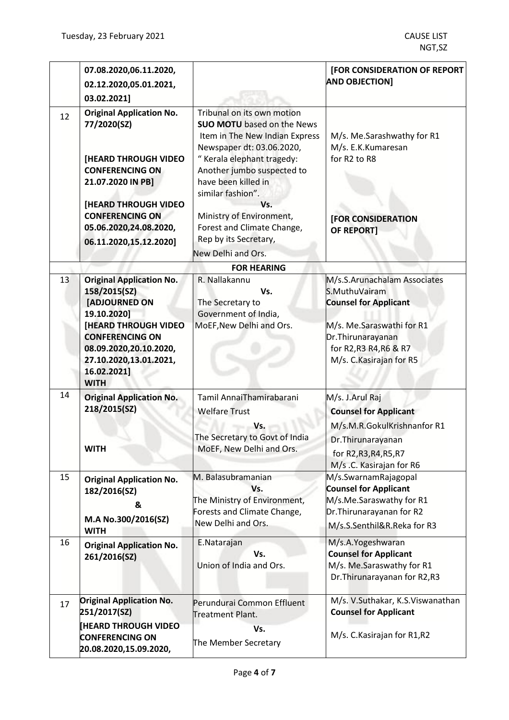|    | 07.08.2020,06.11.2020,<br>02.12.2020,05.01.2021,<br>03.02.2021]                                                                                                                                                            |                                                                                                                                                                                                                     | [FOR CONSIDERATION OF REPORT<br><b>AND OBJECTION]</b>                                                                                                                                  |
|----|----------------------------------------------------------------------------------------------------------------------------------------------------------------------------------------------------------------------------|---------------------------------------------------------------------------------------------------------------------------------------------------------------------------------------------------------------------|----------------------------------------------------------------------------------------------------------------------------------------------------------------------------------------|
| 12 | <b>Original Application No.</b><br>77/2020(SZ)                                                                                                                                                                             | Tribunal on its own motion<br><b>SUO MOTU</b> based on the News<br>Item in The New Indian Express<br>Newspaper dt: 03.06.2020,                                                                                      | M/s. Me.Sarashwathy for R1<br>M/s. E.K.Kumaresan                                                                                                                                       |
|    | <b>[HEARD THROUGH VIDEO</b><br><b>CONFERENCING ON</b><br>21.07.2020 IN PB]<br><b>[HEARD THROUGH VIDEO</b><br><b>CONFERENCING ON</b><br>05.06.2020,24.08.2020,<br>06.11.2020,15.12.2020]                                    | "Kerala elephant tragedy:<br>Another jumbo suspected to<br>have been killed in<br>similar fashion".<br>Vs.<br>Ministry of Environment,<br>Forest and Climate Change,<br>Rep by its Secretary,<br>New Delhi and Ors. | for R2 to R8<br>[FOR CONSIDERATION<br><b>OF REPORT]</b>                                                                                                                                |
|    |                                                                                                                                                                                                                            | <b>FOR HEARING</b>                                                                                                                                                                                                  |                                                                                                                                                                                        |
| 13 | <b>Original Application No.</b><br>158/2015(SZ)<br>[ADJOURNED ON<br>19.10.2020]<br><b>[HEARD THROUGH VIDEO</b><br><b>CONFERENCING ON</b><br>08.09.2020,20.10.2020,<br>27.10.2020,13.01.2021,<br>16.02.2021]<br><b>WITH</b> | R. Nallakannu<br>Vs.<br>The Secretary to<br>Government of India,<br>MoEF, New Delhi and Ors.                                                                                                                        | M/s.S.Arunachalam Associates<br>S.MuthuVairam<br><b>Counsel for Applicant</b><br>M/s. Me.Saraswathi for R1<br>Dr. Thirunarayanan<br>for R2, R3 R4, R6 & R7<br>M/s. C. Kasirajan for R5 |
| 14 | <b>Original Application No.</b><br>218/2015(SZ)<br><b>WITH</b>                                                                                                                                                             | Tamil AnnaiThamirabarani<br><b>Welfare Trust</b><br>Vs.<br>The Secretary to Govt of India<br>MoEF, New Delhi and Ors.                                                                                               | M/s. J.Arul Raj<br><b>Counsel for Applicant</b><br>M/s.M.R.GokulKrishnanfor R1<br>Dr.Thirunarayanan<br>for R2, R3, R4, R5, R7<br>M/s .C. Kasirajan for R6                              |
| 15 | <b>Original Application No.</b><br>182/2016(SZ)<br>&<br>M.A No.300/2016(SZ)<br><b>WITH</b>                                                                                                                                 | M. Balasubramanian<br>Vs.<br>The Ministry of Environment,<br>Forests and Climate Change,<br>New Delhi and Ors.                                                                                                      | M/s.SwarnamRajagopal<br><b>Counsel for Applicant</b><br>M/s.Me.Saraswathy for R1<br>Dr. Thirunarayanan for R2<br>M/s.S.Senthil&R.Reka for R3                                           |
| 16 | <b>Original Application No.</b><br>261/2016(SZ)                                                                                                                                                                            | E.Natarajan<br>Vs.<br>Union of India and Ors.                                                                                                                                                                       | M/s.A.Yogeshwaran<br><b>Counsel for Applicant</b><br>M/s. Me.Saraswathy for R1<br>Dr. Thirunarayanan for R2, R3                                                                        |
| 17 | <b>Original Application No.</b><br>251/2017(SZ)<br><b>HEARD THROUGH VIDEO</b><br><b>CONFERENCING ON</b><br>20.08.2020,15.09.2020,                                                                                          | Perundurai Common Effluent<br>Treatment Plant.<br>Vs.<br>The Member Secretary                                                                                                                                       | M/s. V.Suthakar, K.S.Viswanathan<br><b>Counsel for Applicant</b><br>M/s. C. Kasirajan for R1, R2                                                                                       |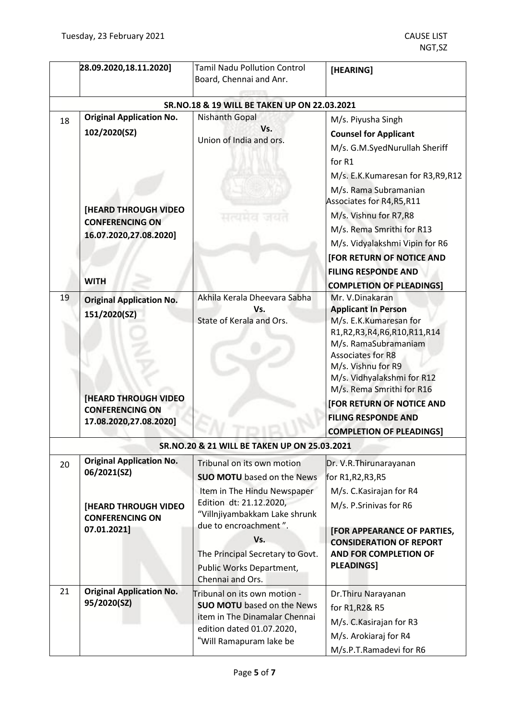|    | 28.09.2020,18.11.2020]                                                                                                                            | <b>Tamil Nadu Pollution Control</b><br>Board, Chennai and Anr.                                                                                                                                                                                                                 | [HEARING]                                                                                                                                                                                                                                                                                                                                                                               |
|----|---------------------------------------------------------------------------------------------------------------------------------------------------|--------------------------------------------------------------------------------------------------------------------------------------------------------------------------------------------------------------------------------------------------------------------------------|-----------------------------------------------------------------------------------------------------------------------------------------------------------------------------------------------------------------------------------------------------------------------------------------------------------------------------------------------------------------------------------------|
|    |                                                                                                                                                   | SR.NO.18 & 19 WILL BE TAKEN UP ON 22.03.2021                                                                                                                                                                                                                                   |                                                                                                                                                                                                                                                                                                                                                                                         |
| 18 | <b>Original Application No.</b><br>102/2020(SZ)<br><b>[HEARD THROUGH VIDEO</b><br><b>CONFERENCING ON</b><br>16.07.2020,27.08.2020]<br><b>WITH</b> | <b>Nishanth Gopal</b><br>Vs.<br>Union of India and ors.                                                                                                                                                                                                                        | M/s. Piyusha Singh<br><b>Counsel for Applicant</b><br>M/s. G.M.SyedNurullah Sheriff<br>for R1<br>M/s. E.K.Kumaresan for R3, R9, R12<br>M/s. Rama Subramanian<br>Associates for R4, R5, R11<br>M/s. Vishnu for R7,R8<br>M/s. Rema Smrithi for R13<br>M/s. Vidyalakshmi Vipin for R6<br><b>[FOR RETURN OF NOTICE AND</b><br><b>FILING RESPONDE AND</b><br><b>COMPLETION OF PLEADINGS]</b> |
| 19 | <b>Original Application No.</b><br>151/2020(SZ)<br><b>[HEARD THROUGH VIDEO</b><br><b>CONFERENCING ON</b><br>17.08.2020,27.08.2020]                | Akhila Kerala Dheevara Sabha<br>Vs.<br>State of Kerala and Ors.                                                                                                                                                                                                                | Mr. V.Dinakaran<br><b>Applicant In Person</b><br>M/s. E.K.Kumaresan for<br>R1, R2, R3, R4, R6, R10, R11, R14<br>M/s. RamaSubramaniam<br><b>Associates for R8</b><br>M/s. Vishnu for R9<br>M/s. Vidhyalakshmi for R12<br>M/s. Rema Smrithi for R16<br>[FOR RETURN OF NOTICE AND<br><b>FILING RESPONDE AND</b><br><b>COMPLETION OF PLEADINGS]</b>                                         |
|    |                                                                                                                                                   | SR.NO.20 & 21 WILL BE TAKEN UP ON 25.03.2021                                                                                                                                                                                                                                   |                                                                                                                                                                                                                                                                                                                                                                                         |
| 20 | <b>Original Application No.</b><br>06/2021(SZ)<br>[HEARD THROUGH VIDEO<br><b>CONFERENCING ON</b><br>07.01.2021]                                   | Tribunal on its own motion<br><b>SUO MOTU</b> based on the News<br>Item in The Hindu Newspaper<br>Edition dt: 21.12.2020,<br>"Villnjiyambakkam Lake shrunk<br>due to encroachment".<br>Vs.<br>The Principal Secretary to Govt.<br>Public Works Department,<br>Chennai and Ors. | Dr. V.R.Thirunarayanan<br>for R1, R2, R3, R5<br>M/s. C. Kasirajan for R4<br>M/s. P.Srinivas for R6<br><b>[FOR APPEARANCE OF PARTIES,</b><br><b>CONSIDERATION OF REPORT</b><br><b>AND FOR COMPLETION OF</b><br><b>PLEADINGS]</b>                                                                                                                                                         |
| 21 | <b>Original Application No.</b><br>95/2020(SZ)                                                                                                    | Tribunal on its own motion -<br><b>SUO MOTU</b> based on the News<br>item in The Dinamalar Chennai<br>edition dated 01.07.2020,<br>"Will Ramapuram lake be                                                                                                                     | Dr. Thiru Narayanan<br>for R1, R2& R5<br>M/s. C. Kasirajan for R3<br>M/s. Arokiaraj for R4<br>M/s.P.T.Ramadevi for R6                                                                                                                                                                                                                                                                   |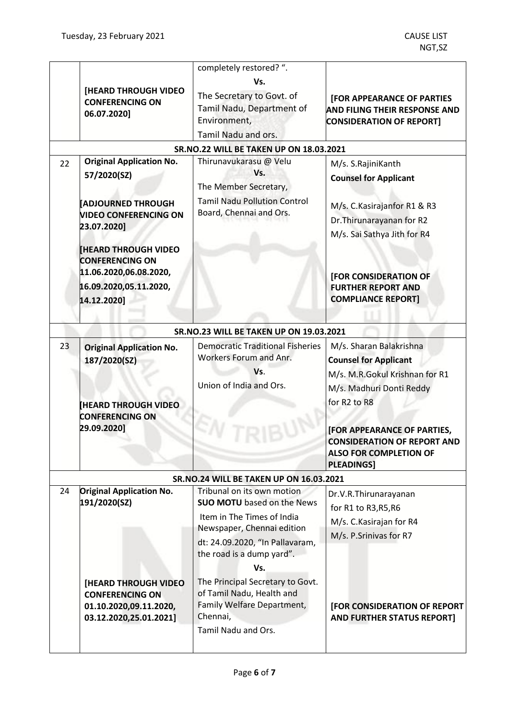|    |                                       | completely restored? ".                                  |                                                                           |
|----|---------------------------------------|----------------------------------------------------------|---------------------------------------------------------------------------|
|    | [HEARD THROUGH VIDEO                  | Vs.                                                      |                                                                           |
|    | <b>CONFERENCING ON</b><br>06.07.2020] | The Secretary to Govt. of<br>Tamil Nadu, Department of   | <b>[FOR APPEARANCE OF PARTIES</b><br><b>AND FILING THEIR RESPONSE AND</b> |
|    |                                       | Environment,<br>Tamil Nadu and ors.                      | <b>CONSIDERATION OF REPORT]</b>                                           |
|    |                                       | <b>SR.NO.22 WILL BE TAKEN UP ON 18.03.2021</b>           |                                                                           |
| 22 | <b>Original Application No.</b>       | Thirunavukarasu @ Velu                                   | M/s. S.RajiniKanth                                                        |
|    | 57/2020(SZ)                           | Vs.                                                      | <b>Counsel for Applicant</b>                                              |
|    |                                       | The Member Secretary,                                    |                                                                           |
|    | <b>ADJOURNED THROUGH</b>              | <b>Tamil Nadu Pollution Control</b>                      | M/s. C. Kasirajanfor R1 & R3                                              |
|    | <b>VIDEO CONFERENCING ON</b>          | Board, Chennai and Ors.                                  | Dr. Thirunarayanan for R2                                                 |
|    | 23.07.2020]                           |                                                          | M/s. Sai Sathya Jith for R4                                               |
|    | <b>[HEARD THROUGH VIDEO</b>           |                                                          |                                                                           |
|    | <b>CONFERENCING ON</b>                |                                                          |                                                                           |
|    | 11.06.2020,06.08.2020,                |                                                          | [FOR CONSIDERATION OF                                                     |
|    | 16.09.2020,05.11.2020,                |                                                          | <b>FURTHER REPORT AND</b>                                                 |
|    | 14.12.2020]                           |                                                          | <b>COMPLIANCE REPORT]</b>                                                 |
|    |                                       |                                                          |                                                                           |
|    |                                       | SR.NO.23 WILL BE TAKEN UP ON 19.03.2021                  |                                                                           |
| 23 | <b>Original Application No.</b>       | <b>Democratic Traditional Fisheries</b>                  | M/s. Sharan Balakrishna                                                   |
|    | 187/2020(SZ)                          | Workers Forum and Anr.                                   | <b>Counsel for Applicant</b>                                              |
|    |                                       | Vs.                                                      | M/s. M.R.Gokul Krishnan for R1                                            |
|    |                                       | Union of India and Ors.                                  | M/s. Madhuri Donti Reddy                                                  |
|    | <b>HEARD THROUGH VIDEO</b>            |                                                          | for R2 to R8                                                              |
|    | <b>CONFERENCING ON</b>                |                                                          |                                                                           |
|    | 29.09.2020]                           |                                                          | <b>[FOR APPEARANCE OF PARTIES,</b>                                        |
|    |                                       |                                                          | <b>CONSIDERATION OF REPORT AND</b>                                        |
|    |                                       |                                                          | <b>ALSO FOR COMPLETION OF</b><br><b>PLEADINGS]</b>                        |
|    |                                       | <b>SR.NO.24 WILL BE TAKEN UP ON 16.03.2021</b>           |                                                                           |
| 24 | <b>Original Application No.</b>       | Tribunal on its own motion                               | Dr.V.R.Thirunarayanan                                                     |
|    | 191/2020(SZ)                          | <b>SUO MOTU</b> based on the News                        | for R1 to R3, R5, R6                                                      |
|    |                                       | Item in The Times of India<br>Newspaper, Chennai edition | M/s. C. Kasirajan for R4                                                  |
|    |                                       | dt: 24.09.2020, "In Pallavaram,                          | M/s. P.Srinivas for R7                                                    |
|    |                                       | the road is a dump yard".                                |                                                                           |
|    |                                       | Vs.                                                      |                                                                           |
|    | <b>[HEARD THROUGH VIDEO</b>           | The Principal Secretary to Govt.                         |                                                                           |
|    | <b>CONFERENCING ON</b>                | of Tamil Nadu, Health and                                |                                                                           |
|    | 01.10.2020,09.11.2020,                | Family Welfare Department,                               | [FOR CONSIDERATION OF REPORT                                              |
|    | 03.12.2020,25.01.2021]                | Chennai,                                                 | <b>AND FURTHER STATUS REPORT]</b>                                         |
|    |                                       | Tamil Nadu and Ors.                                      |                                                                           |
|    |                                       |                                                          |                                                                           |